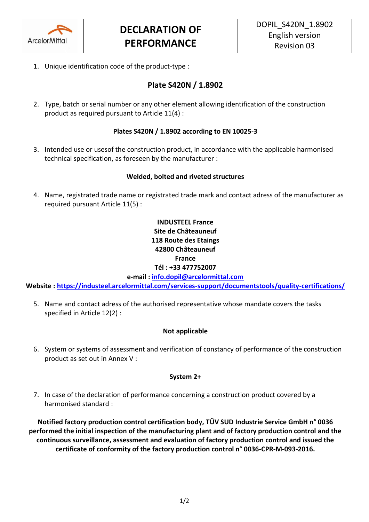

1. Unique identification code of the product-type :

# **Plate S420N / 1.8902**

2. Type, batch or serial number or any other element allowing identification of the construction product as required pursuant to Article 11(4) :

### **Plates S420N / 1.8902 according to EN 10025-3**

3. Intended use or usesof the construction product, in accordance with the applicable harmonised technical specification, as foreseen by the manufacturer :

### **Welded, bolted and riveted structures**

4. Name, registrated trade name or registrated trade mark and contact adress of the manufacturer as required pursuant Article 11(5) :

## **INDUSTEEL France Site de Châteauneuf 118 Route des Etaings 42800 Châteauneuf France Tél : +33 477752007**

**e-mail : [info.dopil@arcelormittal.com](mailto:info.dopil@arcelormittal.com)**

**Website :<https://industeel.arcelormittal.com/services-support/documentstools/quality-certifications/>**

5. Name and contact adress of the authorised representative whose mandate covers the tasks specified in Article 12(2) :

### **Not applicable**

6. System or systems of assessment and verification of constancy of performance of the construction product as set out in Annex V :

### **System 2+**

7. In case of the declaration of performance concerning a construction product covered by a harmonised standard :

**Notified factory production control certification body, TÜV SUD Industrie Service GmbH n° 0036 performed the initial inspection of the manufacturing plant and of factory production control and the continuous surveillance, assessment and evaluation of factory production control and issued the certificate of conformity of the factory production control n° 0036-CPR-M-093-2016.**